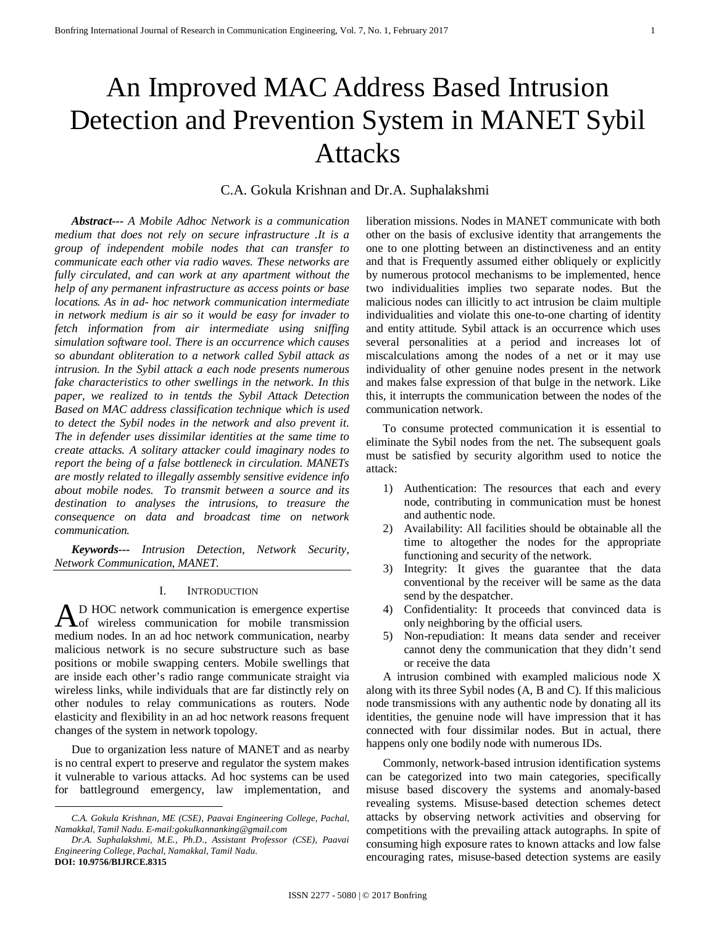# An Improved MAC Address Based Intrusion Detection and Prevention System in MANET Sybil Attacks

# C.A. Gokula Krishnan and Dr.A. Suphalakshmi

*Abstract--- A Mobile Adhoc Network is a communication medium that does not rely on secure infrastructure .It is a group of independent mobile nodes that can transfer to communicate each other via radio waves. These networks are fully circulated, and can work at any apartment without the help of any permanent infrastructure as access points or base locations. As in ad- hoc network communication intermediate in network medium is air so it would be easy for invader to fetch information from air intermediate using sniffing simulation software tool. There is an occurrence which causes so abundant obliteration to a network called Sybil attack as intrusion. In the Sybil attack a each node presents numerous fake characteristics to other swellings in the network. In this paper, we realized to in tentds the Sybil Attack Detection Based on MAC address classification technique which is used to detect the Sybil nodes in the network and also prevent it. The in defender uses dissimilar identities at the same time to create attacks. A solitary attacker could imaginary nodes to report the being of a false bottleneck in circulation. MANETs are mostly related to illegally assembly sensitive evidence info about mobile nodes. To transmit between a source and its destination to analyses the intrusions, to treasure the consequence on data and broadcast time on network communication.*

*Keywords--- Intrusion Detection, Network Security, Network Communication, MANET.*

## I. INTRODUCTION

D HOC network communication is emergence expertise of wireless communication for mobile transmission A D HOC network communication is emergence expertise<br>medium nodes. In an ad hoc network communication, nearby malicious network is no secure substructure such as base positions or mobile swapping centers. Mobile swellings that are inside each other's radio range communicate straight via wireless links, while individuals that are far distinctly rely on other nodules to relay communications as routers. Node elasticity and flexibility in an ad hoc network reasons frequent changes of the system in network topology.

Due to organization less nature of MANET and as nearby is no central expert to preserve and regulator the system makes it vulnerable to various attacks. Ad hoc systems can be used for battleground emergency, law implementation, and

**.** 

liberation missions. Nodes in MANET communicate with both other on the basis of exclusive identity that arrangements the one to one plotting between an distinctiveness and an entity and that is Frequently assumed either obliquely or explicitly by numerous protocol mechanisms to be implemented, hence two individualities implies two separate nodes. But the malicious nodes can illicitly to act intrusion be claim multiple individualities and violate this one-to-one charting of identity and entity attitude. Sybil attack is an occurrence which uses several personalities at a period and increases lot of miscalculations among the nodes of a net or it may use individuality of other genuine nodes present in the network and makes false expression of that bulge in the network. Like this, it interrupts the communication between the nodes of the communication network.

To consume protected communication it is essential to eliminate the Sybil nodes from the net. The subsequent goals must be satisfied by security algorithm used to notice the attack:

- 1) Authentication: The resources that each and every node, contributing in communication must be honest and authentic node.
- 2) Availability: All facilities should be obtainable all the time to altogether the nodes for the appropriate functioning and security of the network.
- 3) Integrity: It gives the guarantee that the data conventional by the receiver will be same as the data send by the despatcher.
- 4) Confidentiality: It proceeds that convinced data is only neighboring by the official users.
- 5) Non-repudiation: It means data sender and receiver cannot deny the communication that they didn't send or receive the data

A intrusion combined with exampled malicious node X along with its three Sybil nodes (A, B and C). If this malicious node transmissions with any authentic node by donating all its identities, the genuine node will have impression that it has connected with four dissimilar nodes. But in actual, there happens only one bodily node with numerous IDs.

Commonly, network-based intrusion identification systems can be categorized into two main categories, specifically misuse based discovery the systems and anomaly-based revealing systems. Misuse-based detection schemes detect attacks by observing network activities and observing for competitions with the prevailing attack autographs. In spite of consuming high exposure rates to known attacks and low false encouraging rates, misuse-based detection systems are easily

*C.A. Gokula Krishnan, ME (CSE), Paavai Engineering College, Pachal, Namakkal, Tamil Nadu. E-mail:gokulkannanking@gmail.com*

*Dr.A. Suphalakshmi, M.E., Ph.D., Assistant Professor (CSE), Paavai Engineering College, Pachal, Namakkal, Tamil Nadu.* **DOI: 10.9756/BIJRCE.8315**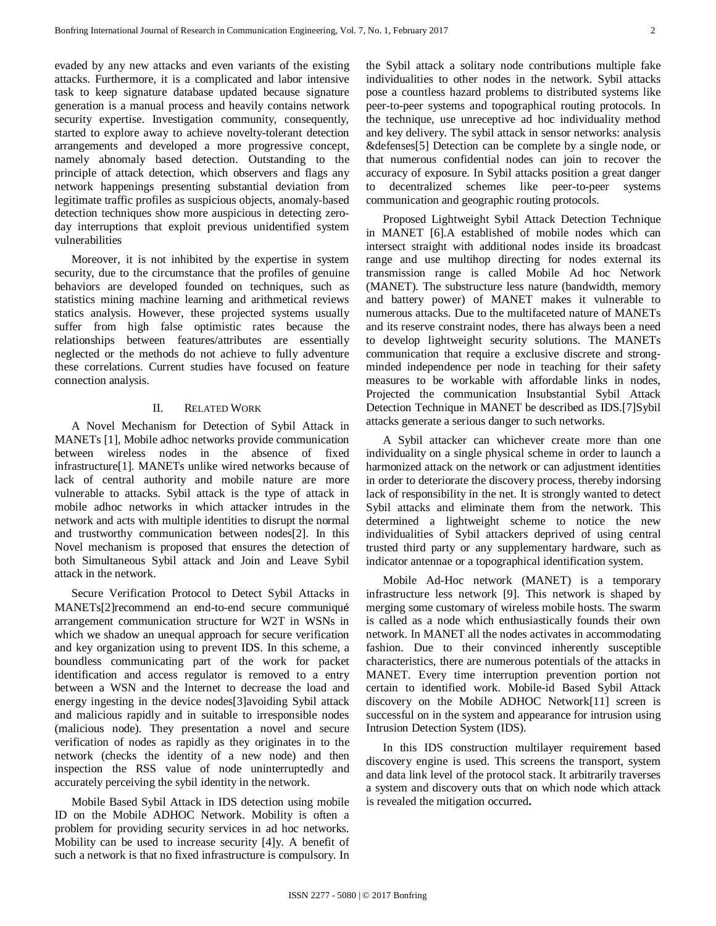evaded by any new attacks and even variants of the existing attacks. Furthermore, it is a complicated and labor intensive task to keep signature database updated because signature generation is a manual process and heavily contains network security expertise. Investigation community, consequently, started to explore away to achieve novelty-tolerant detection arrangements and developed a more progressive concept, namely abnomaly based detection. Outstanding to the principle of attack detection, which observers and flags any network happenings presenting substantial deviation from legitimate traffic profiles as suspicious objects, anomaly-based detection techniques show more auspicious in detecting zeroday interruptions that exploit previous unidentified system vulnerabilities

Moreover, it is not inhibited by the expertise in system security, due to the circumstance that the profiles of genuine behaviors are developed founded on techniques, such as statistics mining machine learning and arithmetical reviews statics analysis. However, these projected systems usually suffer from high false optimistic rates because the relationships between features/attributes are essentially neglected or the methods do not achieve to fully adventure these correlations. Current studies have focused on feature connection analysis.

## II. RELATED WORK

A Novel Mechanism for Detection of Sybil Attack in MANETs [1], Mobile adhoc networks provide communication between wireless nodes in the absence of fixed infrastructure[1]. MANETs unlike wired networks because of lack of central authority and mobile nature are more vulnerable to attacks. Sybil attack is the type of attack in mobile adhoc networks in which attacker intrudes in the network and acts with multiple identities to disrupt the normal and trustworthy communication between nodes[2]. In this Novel mechanism is proposed that ensures the detection of both Simultaneous Sybil attack and Join and Leave Sybil attack in the network.

Secure Verification Protocol to Detect Sybil Attacks in MANETs[2]recommend an end-to-end secure communiqué arrangement communication structure for W2T in WSNs in which we shadow an unequal approach for secure verification and key organization using to prevent IDS. In this scheme, a boundless communicating part of the work for packet identification and access regulator is removed to a entry between a WSN and the Internet to decrease the load and energy ingesting in the device nodes[3]avoiding Sybil attack and malicious rapidly and in suitable to irresponsible nodes (malicious node). They presentation a novel and secure verification of nodes as rapidly as they originates in to the network (checks the identity of a new node) and then inspection the RSS value of node uninterruptedly and accurately perceiving the sybil identity in the network.

Mobile Based Sybil Attack in IDS detection using mobile ID on the Mobile ADHOC Network. Mobility is often a problem for providing security services in ad hoc networks. Mobility can be used to increase security [4]y. A benefit of such a network is that no fixed infrastructure is compulsory. In the Sybil attack a solitary node contributions multiple fake individualities to other nodes in the network. Sybil attacks pose a countless hazard problems to distributed systems like peer-to-peer systems and topographical routing protocols. In the technique, use unreceptive ad hoc individuality method and key delivery. The sybil attack in sensor networks: analysis &defenses[5] Detection can be complete by a single node, or that numerous confidential nodes can join to recover the accuracy of exposure. In Sybil attacks position a great danger to decentralized schemes like peer-to-peer systems communication and geographic routing protocols.

Proposed Lightweight Sybil Attack Detection Technique in MANET [6].A established of mobile nodes which can intersect straight with additional nodes inside its broadcast range and use multihop directing for nodes external its transmission range is called Mobile Ad hoc Network (MANET). The substructure less nature (bandwidth, memory and battery power) of MANET makes it vulnerable to numerous attacks. Due to the multifaceted nature of MANETs and its reserve constraint nodes, there has always been a need to develop lightweight security solutions. The MANETs communication that require a exclusive discrete and strongminded independence per node in teaching for their safety measures to be workable with affordable links in nodes, Projected the communication Insubstantial Sybil Attack Detection Technique in MANET be described as IDS.[7]Sybil attacks generate a serious danger to such networks.

A Sybil attacker can whichever create more than one individuality on a single physical scheme in order to launch a harmonized attack on the network or can adjustment identities in order to deteriorate the discovery process, thereby indorsing lack of responsibility in the net. It is strongly wanted to detect Sybil attacks and eliminate them from the network. This determined a lightweight scheme to notice the new individualities of Sybil attackers deprived of using central trusted third party or any supplementary hardware, such as indicator antennae or a topographical identification system.

Mobile Ad-Hoc network (MANET) is a temporary infrastructure less network [9]. This network is shaped by merging some customary of wireless mobile hosts. The swarm is called as a node which enthusiastically founds their own network. In MANET all the nodes activates in accommodating fashion. Due to their convinced inherently susceptible characteristics, there are numerous potentials of the attacks in MANET. Every time interruption prevention portion not certain to identified work. Mobile-id Based Sybil Attack discovery on the Mobile ADHOC Network[11] screen is successful on in the system and appearance for intrusion using Intrusion Detection System (IDS).

In this IDS construction multilayer requirement based discovery engine is used. This screens the transport, system and data link level of the protocol stack. It arbitrarily traverses a system and discovery outs that on which node which attack is revealed the mitigation occurred**.**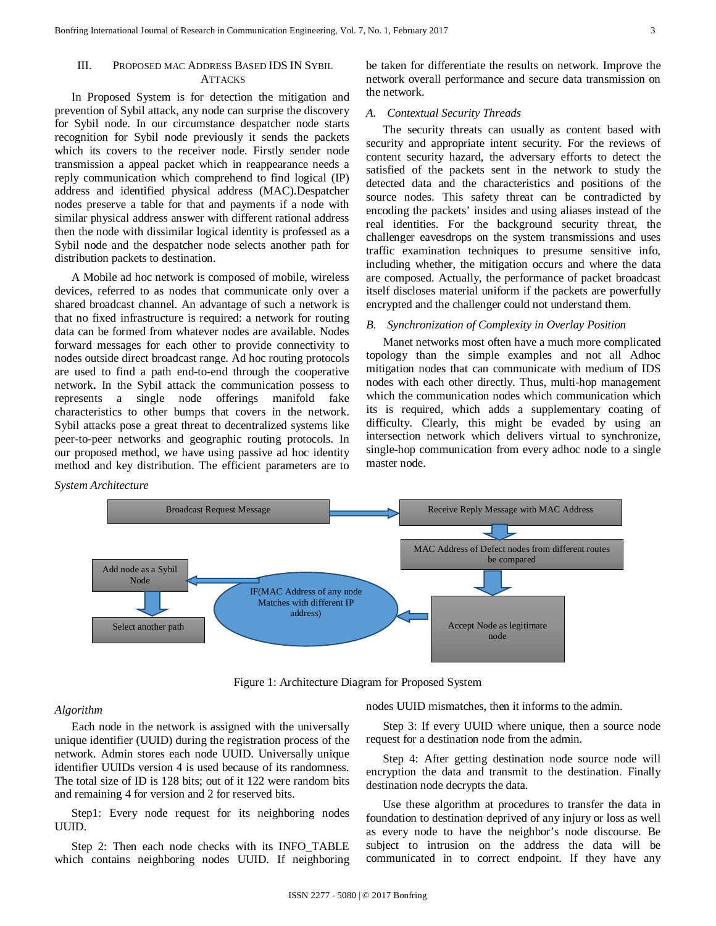## III. PROPOSED MAC ADDRESS BASED IDS IN SYBIL **ATTACKS**

In Proposed System is for detection the mitigation and prevention of Sybil attack, any node can surprise the discovery for Sybil node. In our circumstance despatcher node starts recognition for Sybil node previously it sends the packets which its covers to the receiver node. Firstly sender node transmission a appeal packet which in reappearance needs a reply communication which comprehend to find logical (IP) address and identified physical address (MAC).Despatcher nodes preserve a table for that and payments if a node with similar physical address answer with different rational address then the node with dissimilar logical identity is professed as a Sybil node and the despatcher node selects another path for distribution packets to destination.

A Mobile ad hoc network is composed of mobile, wireless devices, referred to as nodes that communicate only over a shared broadcast channel. An advantage of such a network is that no fixed infrastructure is required: a network for routing data can be formed from whatever nodes are available. Nodes forward messages for each other to provide connectivity to nodes outside direct broadcast range. Ad hoc routing protocols are used to find a path end-to-end through the cooperative network**.** In the Sybil attack the communication possess to represents a single node offerings manifold fake characteristics to other bumps that covers in the network. Sybil attacks pose a great threat to decentralized systems like peer-to-peer networks and geographic routing protocols. In our proposed method, we have using passive ad hoc identity method and key distribution. The efficient parameters are to

#### *System Architecture*



#### *A. Contextual Security Threads*

The security threats can usually as content based with security and appropriate intent security. For the reviews of content security hazard, the adversary efforts to detect the satisfied of the packets sent in the network to study the detected data and the characteristics and positions of the source nodes. This safety threat can be contradicted by encoding the packets' insides and using aliases instead of the real identities. For the background security threat, the challenger eavesdrops on the system transmissions and uses traffic examination techniques to presume sensitive info, including whether, the mitigation occurs and where the data are composed. Actually, the performance of packet broadcast itself discloses material uniform if the packets are powerfully encrypted and the challenger could not understand them.

#### *B. Synchronization of Complexity in Overlay Position*

Manet networks most often have a much more complicated topology than the simple examples and not all Adhoc mitigation nodes that can communicate with medium of IDS nodes with each other directly. Thus, multi-hop management which the communication nodes which communication which its is required, which adds a supplementary coating of difficulty. Clearly, this might be evaded by using an intersection network which delivers virtual to synchronize, single-hop communication from every adhoc node to a single master node.



Figure 1: Architecture Diagram for Proposed System

#### *Algorithm*

Each node in the network is assigned with the universally unique identifier (UUID) during the registration process of the network. Admin stores each node UUID. Universally unique identifier UUIDs version 4 is used because of its randomness. The total size of ID is 128 bits; out of it 122 were random bits and remaining 4 for version and 2 for reserved bits.

Step1: Every node request for its neighboring nodes UUID.

Step 2: Then each node checks with its INFO\_TABLE which contains neighboring nodes UUID. If neighboring nodes UUID mismatches, then it informs to the admin.

Step 3: If every UUID where unique, then a source node request for a destination node from the admin.

Step 4: After getting destination node source node will encryption the data and transmit to the destination. Finally destination node decrypts the data.

Use these algorithm at procedures to transfer the data in foundation to destination deprived of any injury or loss as well as every node to have the neighbor's node discourse. Be subject to intrusion on the address the data will be communicated in to correct endpoint. If they have any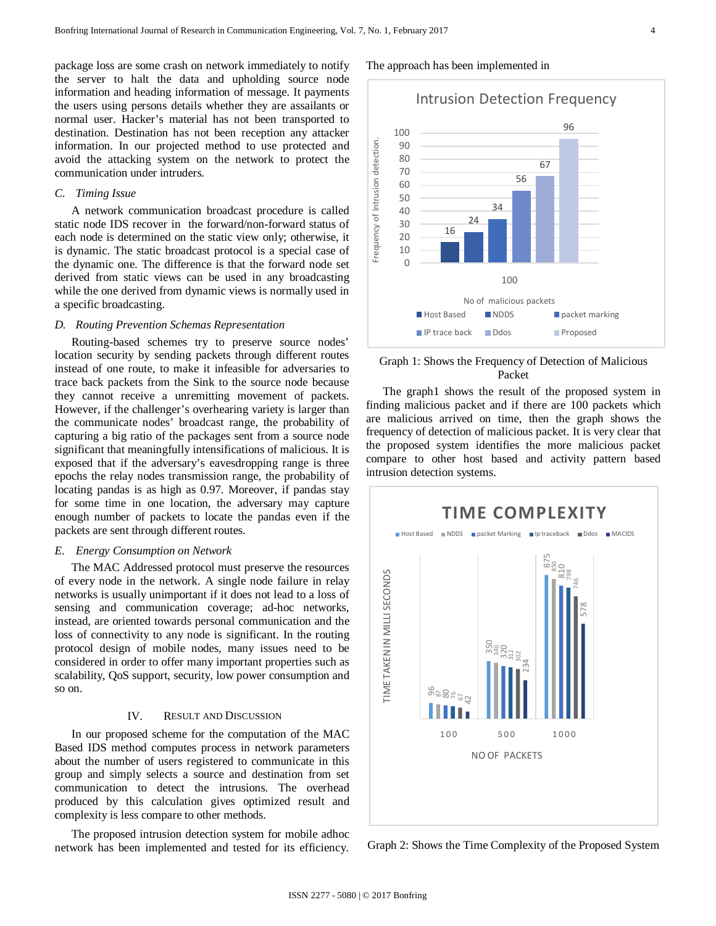package loss are some crash on network immediately to notify the server to halt the data and upholding source node information and heading information of message. It payments the users using persons details whether they are assailants or normal user. Hacker's material has not been transported to destination. Destination has not been reception any attacker information. In our projected method to use protected and avoid the attacking system on the network to protect the communication under intruders.

### *C. Timing Issue*

A network communication broadcast procedure is called static node IDS recover in the forward/non-forward status of each node is determined on the static view only; otherwise, it is dynamic. The static broadcast protocol is a special case of the dynamic one. The difference is that the forward node set derived from static views can be used in any broadcasting while the one derived from dynamic views is normally used in a specific broadcasting.

#### *D. Routing Prevention Schemas Representation*

Routing-based schemes try to preserve source nodes' location security by sending packets through different routes instead of one route, to make it infeasible for adversaries to trace back packets from the Sink to the source node because they cannot receive a unremitting movement of packets. However, if the challenger's overhearing variety is larger than the communicate nodes' broadcast range, the probability of capturing a big ratio of the packages sent from a source node significant that meaningfully intensifications of malicious. It is exposed that if the adversary's eavesdropping range is three epochs the relay nodes transmission range, the probability of locating pandas is as high as 0.97. Moreover, if pandas stay for some time in one location, the adversary may capture enough number of packets to locate the pandas even if the packets are sent through different routes.

#### *E. Energy Consumption on Network*

The MAC Addressed protocol must preserve the resources of every node in the network. A single node failure in relay networks is usually unimportant if it does not lead to a loss of sensing and communication coverage; ad-hoc networks, instead, are oriented towards personal communication and the loss of connectivity to any node is significant. In the routing protocol design of mobile nodes, many issues need to be considered in order to offer many important properties such as scalability, QoS support, security, low power consumption and so on.

### IV. RESULT AND DISCUSSION

In our proposed scheme for the computation of the MAC Based IDS method computes process in network parameters about the number of users registered to communicate in this group and simply selects a source and destination from set communication to detect the intrusions. The overhead produced by this calculation gives optimized result and complexity is less compare to other methods.

The proposed intrusion detection system for mobile adhoc network has been implemented and tested for its efficiency. The approach has been implemented in

Intrusion Detection Frequency 96 100 of Intrusion detection. Frequency of Intrusion detection.  $9<sub>0</sub>$  $80$ 67 70 56 60 50 34  $\overline{40}$ 24  $30$ Frequency 16  $20$ 10  $\Omega$ 100 No of malicious packets ■ Host Based ■ NDDS ■ packet marking IP trace back Ddos Proposed

Graph 1: Shows the Frequency of Detection of Malicious Packet

The graph1 shows the result of the proposed system in finding malicious packet and if there are 100 packets which are malicious arrived on time, then the graph shows the frequency of detection of malicious packet. It is very clear that the proposed system identifies the more malicious packet compare to other host based and activity pattern based intrusion detection systems.



Graph 2: Shows the Time Complexity of the Proposed System